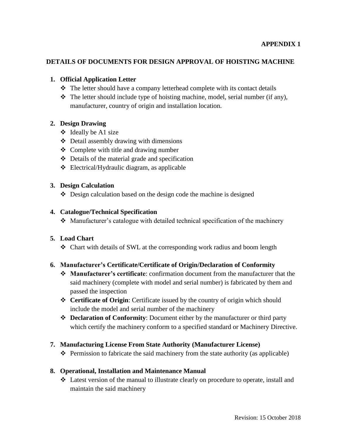### **DETAILS OF DOCUMENTS FOR DESIGN APPROVAL OF HOISTING MACHINE**

### **1. Official Application Letter**

- \* The letter should have a company letterhead complete with its contact details
- $\hat{\mathbf{v}}$  The letter should include type of hoisting machine, model, serial number (if any), manufacturer, country of origin and installation location.

### **2. Design Drawing**

- $\div$  Ideally be A1 size
- $\triangle$  Detail assembly drawing with dimensions
- Complete with title and drawing number
- $\triangleleft$  Details of the material grade and specification
- Electrical/Hydraulic diagram, as applicable

### **3. Design Calculation**

 $\triangle$  Design calculation based on the design code the machine is designed

### **4. Catalogue/Technical Specification**

Manufacturer's catalogue with detailed technical specification of the machinery

### **5. Load Chart**

Chart with details of SWL at the corresponding work radius and boom length

### **6. Manufacturer's Certificate/Certificate of Origin/Declaration of Conformity**

- **Manufacturer's certificate**: confirmation document from the manufacturer that the said machinery (complete with model and serial number) is fabricated by them and passed the inspection
- **Certificate of Origin**: Certificate issued by the country of origin which should include the model and serial number of the machinery
- **Declaration of Conformity**: Document either by the manufacturer or third party which certify the machinery conform to a specified standard or Machinery Directive.

### **7. Manufacturing License From State Authority (Manufacturer License)**

 $\triangle$  Permission to fabricate the said machinery from the state authority (as applicable)

#### **8. Operational, Installation and Maintenance Manual**

 Latest version of the manual to illustrate clearly on procedure to operate, install and maintain the said machinery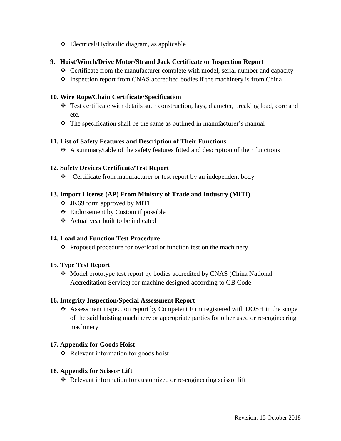$\triangleleft$  Electrical/Hydraulic diagram, as applicable

## **9. Hoist/Winch/Drive Motor/Strand Jack Certificate or Inspection Report**

- Certificate from the manufacturer complete with model, serial number and capacity
- $\cdot$  Inspection report from CNAS accredited bodies if the machinery is from China

## **10. Wire Rope/Chain Certificate/Specification**

- $\div$  Test certificate with details such construction, lays, diameter, breaking load, core and etc.
- $\hat{\mathbf{v}}$  The specification shall be the same as outlined in manufacturer's manual

## **11. List of Safety Features and Description of Their Functions**

 $\triangle$  A summary/table of the safety features fitted and description of their functions

## **12. Safety Devices Certificate/Test Report**

Certificate from manufacturer or test report by an independent body

# **13. Import License (AP) From Ministry of Trade and Industry (MITI)**

- JK69 form approved by MITI
- Endorsement by Custom if possible
- Actual year built to be indicated

### **14. Load and Function Test Procedure**

❖ Proposed procedure for overload or function test on the machinery

# **15. Type Test Report**

 Model prototype test report by bodies accredited by CNAS (China National Accreditation Service) for machine designed according to GB Code

### **16. Integrity Inspection/Special Assessment Report**

 Assessment inspection report by Competent Firm registered with DOSH in the scope of the said hoisting machinery or appropriate parties for other used or re-engineering machinery

### **17. Appendix for Goods Hoist**

 $\triangleleft$  Relevant information for goods hoist

### **18. Appendix for Scissor Lift**

Relevant information for customized or re-engineering scissor lift